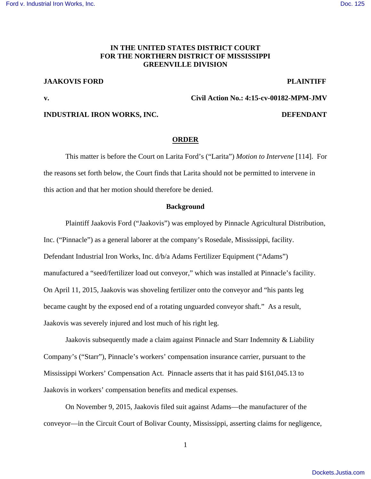## **IN THE UNITED STATES DISTRICT COURT FOR THE NORTHERN DISTRICT OF MISSISSIPPI GREENVILLE DIVISION**

# **JAAKOVIS FORD PLAINTIFF**

**v. Civil Action No.: 4:15-cv-00182-MPM-JMV** 

## **INDUSTRIAL IRON WORKS, INC. DEFENDANT**

### **ORDER**

 This matter is before the Court on Larita Ford's ("Larita") *Motion to Intervene* [114]. For the reasons set forth below, the Court finds that Larita should not be permitted to intervene in this action and that her motion should therefore be denied.

#### **Background**

 Plaintiff Jaakovis Ford ("Jaakovis") was employed by Pinnacle Agricultural Distribution, Inc. ("Pinnacle") as a general laborer at the company's Rosedale, Mississippi, facility. Defendant Industrial Iron Works, Inc. d/b/a Adams Fertilizer Equipment ("Adams") manufactured a "seed/fertilizer load out conveyor," which was installed at Pinnacle's facility. On April 11, 2015, Jaakovis was shoveling fertilizer onto the conveyor and "his pants leg became caught by the exposed end of a rotating unguarded conveyor shaft." As a result, Jaakovis was severely injured and lost much of his right leg.

 Jaakovis subsequently made a claim against Pinnacle and Starr Indemnity & Liability Company's ("Starr"), Pinnacle's workers' compensation insurance carrier, pursuant to the Mississippi Workers' Compensation Act. Pinnacle asserts that it has paid \$161,045.13 to Jaakovis in workers' compensation benefits and medical expenses.

 On November 9, 2015, Jaakovis filed suit against Adams—the manufacturer of the conveyor—in the Circuit Court of Bolivar County, Mississippi, asserting claims for negligence,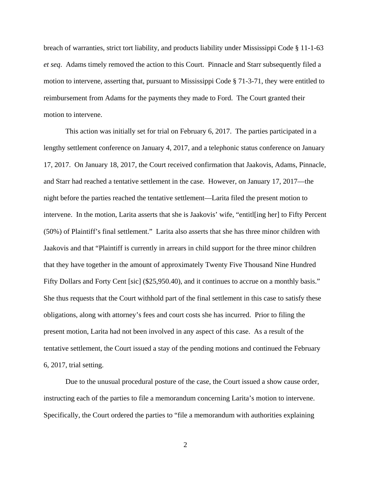breach of warranties, strict tort liability, and products liability under Mississippi Code § 11-1-63 *et seq*. Adams timely removed the action to this Court. Pinnacle and Starr subsequently filed a motion to intervene, asserting that, pursuant to Mississippi Code § 71-3-71, they were entitled to reimbursement from Adams for the payments they made to Ford. The Court granted their motion to intervene.

 This action was initially set for trial on February 6, 2017. The parties participated in a lengthy settlement conference on January 4, 2017, and a telephonic status conference on January 17, 2017. On January 18, 2017, the Court received confirmation that Jaakovis, Adams, Pinnacle, and Starr had reached a tentative settlement in the case. However, on January 17, 2017—the night before the parties reached the tentative settlement—Larita filed the present motion to intervene. In the motion, Larita asserts that she is Jaakovis' wife, "entitl[ing her] to Fifty Percent (50%) of Plaintiff's final settlement." Larita also asserts that she has three minor children with Jaakovis and that "Plaintiff is currently in arrears in child support for the three minor children that they have together in the amount of approximately Twenty Five Thousand Nine Hundred Fifty Dollars and Forty Cent [sic] (\$25,950.40), and it continues to accrue on a monthly basis." She thus requests that the Court withhold part of the final settlement in this case to satisfy these obligations, along with attorney's fees and court costs she has incurred. Prior to filing the present motion, Larita had not been involved in any aspect of this case. As a result of the tentative settlement, the Court issued a stay of the pending motions and continued the February 6, 2017, trial setting.

 Due to the unusual procedural posture of the case, the Court issued a show cause order, instructing each of the parties to file a memorandum concerning Larita's motion to intervene. Specifically, the Court ordered the parties to "file a memorandum with authorities explaining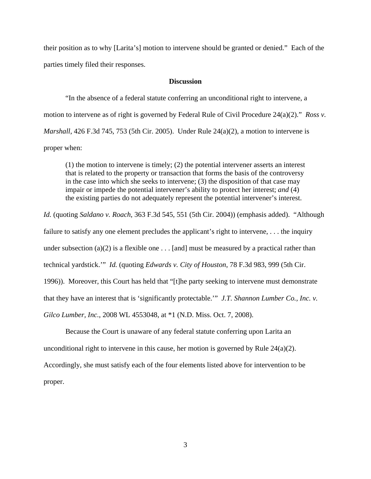their position as to why [Larita's] motion to intervene should be granted or denied." Each of the parties timely filed their responses.

### **Discussion**

 "In the absence of a federal statute conferring an unconditional right to intervene, a motion to intervene as of right is governed by Federal Rule of Civil Procedure 24(a)(2)." *Ross v. Marshall*, 426 F.3d 745, 753 (5th Cir. 2005). Under Rule 24(a)(2), a motion to intervene is proper when:

(1) the motion to intervene is timely; (2) the potential intervener asserts an interest that is related to the property or transaction that forms the basis of the controversy in the case into which she seeks to intervene; (3) the disposition of that case may impair or impede the potential intervener's ability to protect her interest; *and* (4) the existing parties do not adequately represent the potential intervener's interest.

*Id.* (quoting *Saldano v. Roach*, 363 F.3d 545, 551 (5th Cir. 2004)) (emphasis added). "Although failure to satisfy any one element precludes the applicant's right to intervene, . . . the inquiry under subsection (a)(2) is a flexible one  $\dots$  [and] must be measured by a practical rather than technical yardstick.'" *Id.* (quoting *Edwards v. City of Houston*, 78 F.3d 983, 999 (5th Cir. 1996)). Moreover, this Court has held that "[t]he party seeking to intervene must demonstrate that they have an interest that is 'significantly protectable.'" *J.T. Shannon Lumber Co., Inc. v. Gilco Lumber, Inc.*, 2008 WL 4553048, at \*1 (N.D. Miss. Oct. 7, 2008).

 Because the Court is unaware of any federal statute conferring upon Larita an unconditional right to intervene in this cause, her motion is governed by Rule  $24(a)(2)$ . Accordingly, she must satisfy each of the four elements listed above for intervention to be proper.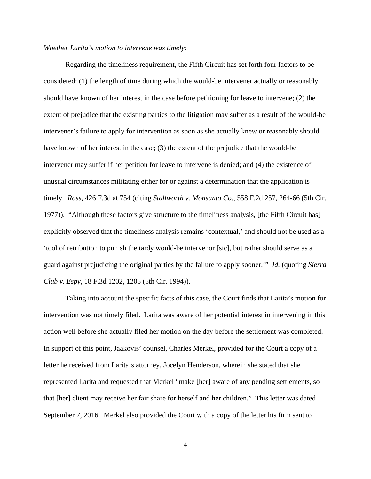#### *Whether Larita's motion to intervene was timely:*

 Regarding the timeliness requirement, the Fifth Circuit has set forth four factors to be considered: (1) the length of time during which the would-be intervener actually or reasonably should have known of her interest in the case before petitioning for leave to intervene; (2) the extent of prejudice that the existing parties to the litigation may suffer as a result of the would-be intervener's failure to apply for intervention as soon as she actually knew or reasonably should have known of her interest in the case; (3) the extent of the prejudice that the would-be intervener may suffer if her petition for leave to intervene is denied; and (4) the existence of unusual circumstances militating either for or against a determination that the application is timely. *Ross*, 426 F.3d at 754 (citing *Stallworth v. Monsanto Co.*, 558 F.2d 257, 264-66 (5th Cir. 1977)). "Although these factors give structure to the timeliness analysis, [the Fifth Circuit has] explicitly observed that the timeliness analysis remains 'contextual,' and should not be used as a 'tool of retribution to punish the tardy would-be intervenor [sic], but rather should serve as a guard against prejudicing the original parties by the failure to apply sooner.'" *Id.* (quoting *Sierra Club v. Espy*, 18 F.3d 1202, 1205 (5th Cir. 1994)).

 Taking into account the specific facts of this case, the Court finds that Larita's motion for intervention was not timely filed. Larita was aware of her potential interest in intervening in this action well before she actually filed her motion on the day before the settlement was completed. In support of this point, Jaakovis' counsel, Charles Merkel, provided for the Court a copy of a letter he received from Larita's attorney, Jocelyn Henderson, wherein she stated that she represented Larita and requested that Merkel "make [her] aware of any pending settlements, so that [her] client may receive her fair share for herself and her children." This letter was dated September 7, 2016. Merkel also provided the Court with a copy of the letter his firm sent to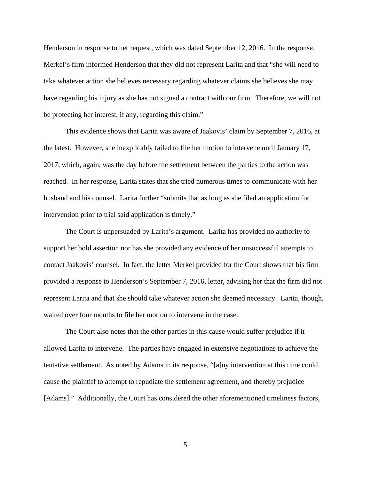Henderson in response to her request, which was dated September 12, 2016. In the response, Merkel's firm informed Henderson that they did not represent Larita and that "she will need to take whatever action she believes necessary regarding whatever claims she believes she may have regarding his injury as she has not signed a contract with our firm. Therefore, we will not be protecting her interest, if any, regarding this claim."

This evidence shows that Larita was aware of Jaakovis' claim by September 7, 2016, at the latest. However, she inexplicably failed to file her motion to intervene until January 17, 2017, which, again, was the day before the settlement between the parties to the action was reached. In her response, Larita states that she tried numerous times to communicate with her husband and his counsel. Larita further "submits that as long as she filed an application for intervention prior to trial said application is timely."

The Court is unpersuaded by Larita's argument. Larita has provided no authority to support her bold assertion nor has she provided any evidence of her unsuccessful attempts to contact Jaakovis' counsel. In fact, the letter Merkel provided for the Court shows that his firm provided a response to Henderson's September 7, 2016, letter, advising her that the firm did not represent Larita and that she should take whatever action she deemed necessary. Larita, though, waited over four months to file her motion to intervene in the case.

The Court also notes that the other parties in this cause would suffer prejudice if it allowed Larita to intervene. The parties have engaged in extensive negotiations to achieve the tentative settlement. As noted by Adams in its response, "[a]ny intervention at this time could cause the plaintiff to attempt to repudiate the settlement agreement, and thereby prejudice [Adams]." Additionally, the Court has considered the other aforementioned timeliness factors,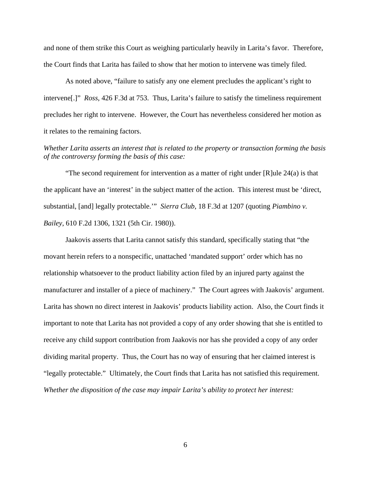and none of them strike this Court as weighing particularly heavily in Larita's favor. Therefore, the Court finds that Larita has failed to show that her motion to intervene was timely filed.

 As noted above, "failure to satisfy any one element precludes the applicant's right to intervene[.]" *Ross*, 426 F.3d at 753. Thus, Larita's failure to satisfy the timeliness requirement precludes her right to intervene. However, the Court has nevertheless considered her motion as it relates to the remaining factors.

## *Whether Larita asserts an interest that is related to the property or transaction forming the basis of the controversy forming the basis of this case:*

 "The second requirement for intervention as a matter of right under [R]ule 24(a) is that the applicant have an 'interest' in the subject matter of the action. This interest must be 'direct, substantial, [and] legally protectable.'" *Sierra Club*, 18 F.3d at 1207 (quoting *Piambino v. Bailey*, 610 F.2d 1306, 1321 (5th Cir. 1980)).

 Jaakovis asserts that Larita cannot satisfy this standard, specifically stating that "the movant herein refers to a nonspecific, unattached 'mandated support' order which has no relationship whatsoever to the product liability action filed by an injured party against the manufacturer and installer of a piece of machinery." The Court agrees with Jaakovis' argument. Larita has shown no direct interest in Jaakovis' products liability action. Also, the Court finds it important to note that Larita has not provided a copy of any order showing that she is entitled to receive any child support contribution from Jaakovis nor has she provided a copy of any order dividing marital property. Thus, the Court has no way of ensuring that her claimed interest is "legally protectable." Ultimately, the Court finds that Larita has not satisfied this requirement. *Whether the disposition of the case may impair Larita's ability to protect her interest:*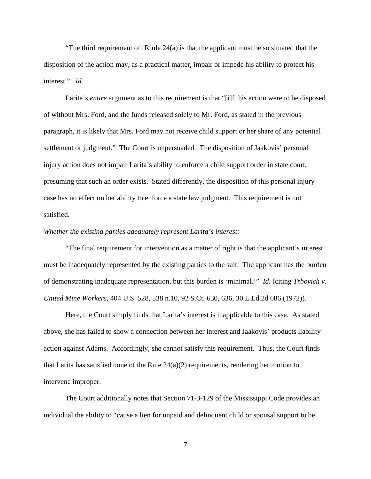"The third requirement of  $[R]$ ule 24(a) is that the applicant must be so situated that the disposition of the action may, as a practical matter, impair or impede his ability to protect his interest." *Id.*

 Larita's *entire* argument as to this requirement is that "[i]f this action were to be disposed of without Mrs. Ford, and the funds released solely to Mr. Ford, as stated in the previous paragraph, it is likely that Mrs. Ford may not receive child support or her share of any potential settlement or judgment." The Court is unpersuaded. The disposition of Jaakovis' personal injury action does not impair Larita's ability to enforce a child support order in state court, presuming that such an order exists. Stated differently, the disposition of this personal injury case has no effect on her ability to enforce a state law judgment. This requirement is not satisfied.

#### *Whether the existing parties adequately represent Larita's interest:*

 "The final requirement for intervention as a matter of right is that the applicant's interest must be inadequately represented by the existing parties to the suit. The applicant has the burden of demonstrating inadequate representation, but this burden is 'minimal.'" *Id.* (citing *Trbovich v. United Mine Workers*, 404 U.S. 528, 538 n.10, 92 S.Ct. 630, 636, 30 L.Ed.2d 686 (1972)).

 Here, the Court simply finds that Larita's interest is inapplicable to this case. As stated above, she has failed to show a connection between her interest and Jaakovis' products liability action against Adams. Accordingly, she cannot satisfy this requirement. Thus, the Court finds that Larita has satisfied none of the Rule 24(a)(2) requirements, rendering her motion to intervene improper.

 The Court additionally notes that Section 71-3-129 of the Mississippi Code provides an individual the ability to "cause a lien for unpaid and delinquent child or spousal support to be